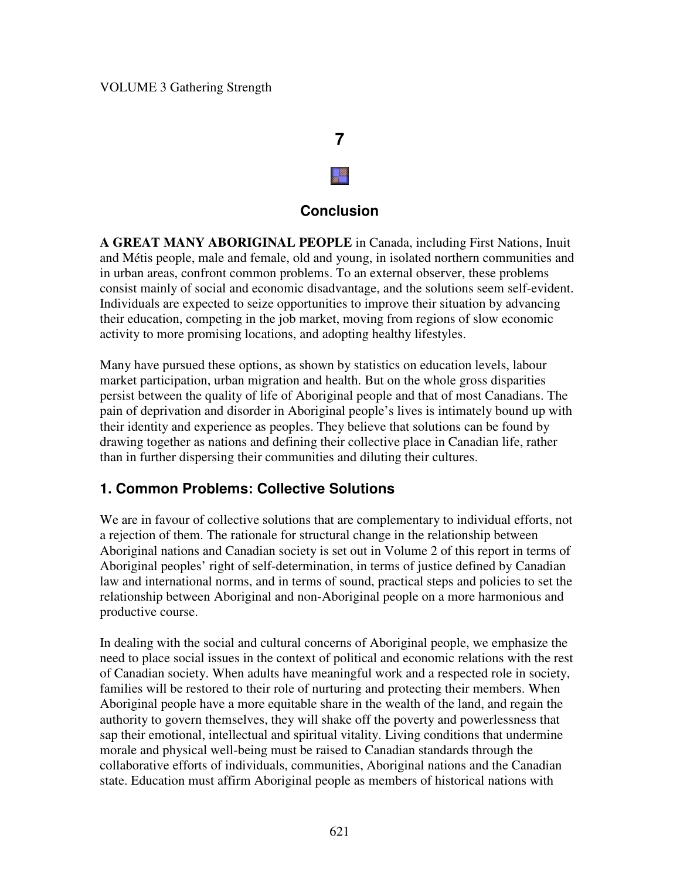# **7** y

#### **Conclusion**

**A GREAT MANY ABORIGINAL PEOPLE** in Canada, including First Nations, Inuit and Métis people, male and female, old and young, in isolated northern communities and in urban areas, confront common problems. To an external observer, these problems consist mainly of social and economic disadvantage, and the solutions seem self-evident. Individuals are expected to seize opportunities to improve their situation by advancing their education, competing in the job market, moving from regions of slow economic activity to more promising locations, and adopting healthy lifestyles.

Many have pursued these options, as shown by statistics on education levels, labour market participation, urban migration and health. But on the whole gross disparities persist between the quality of life of Aboriginal people and that of most Canadians. The pain of deprivation and disorder in Aboriginal people's lives is intimately bound up with their identity and experience as peoples. They believe that solutions can be found by drawing together as nations and defining their collective place in Canadian life, rather than in further dispersing their communities and diluting their cultures.

#### **1. Common Problems: Collective Solutions**

We are in favour of collective solutions that are complementary to individual efforts, not a rejection of them. The rationale for structural change in the relationship between Aboriginal nations and Canadian society is set out in Volume 2 of this report in terms of Aboriginal peoples' right of self-determination, in terms of justice defined by Canadian law and international norms, and in terms of sound, practical steps and policies to set the relationship between Aboriginal and non-Aboriginal people on a more harmonious and productive course.

In dealing with the social and cultural concerns of Aboriginal people, we emphasize the need to place social issues in the context of political and economic relations with the rest of Canadian society. When adults have meaningful work and a respected role in society, families will be restored to their role of nurturing and protecting their members. When Aboriginal people have a more equitable share in the wealth of the land, and regain the authority to govern themselves, they will shake off the poverty and powerlessness that sap their emotional, intellectual and spiritual vitality. Living conditions that undermine morale and physical well-being must be raised to Canadian standards through the collaborative efforts of individuals, communities, Aboriginal nations and the Canadian state. Education must affirm Aboriginal people as members of historical nations with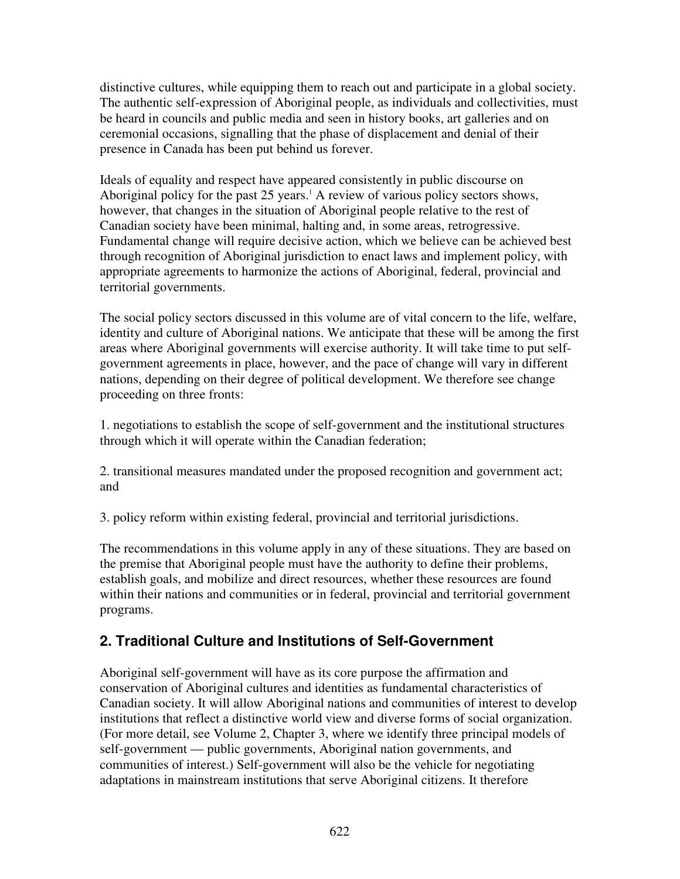distinctive cultures, while equipping them to reach out and participate in a global society. The authentic self-expression of Aboriginal people, as individuals and collectivities, must be heard in councils and public media and seen in history books, art galleries and on ceremonial occasions, signalling that the phase of displacement and denial of their presence in Canada has been put behind us forever.

Ideals of equality and respect have appeared consistently in public discourse on Aboriginal policy for the past 25 years. <sup>1</sup> A review of various policy sectors shows, however, that changes in the situation of Aboriginal people relative to the rest of Canadian society have been minimal, halting and, in some areas, retrogressive. Fundamental change will require decisive action, which we believe can be achieved best through recognition of Aboriginal jurisdiction to enact laws and implement policy, with appropriate agreements to harmonize the actions of Aboriginal, federal, provincial and territorial governments.

The social policy sectors discussed in this volume are of vital concern to the life, welfare, identity and culture of Aboriginal nations. We anticipate that these will be among the first areas where Aboriginal governments will exercise authority. It will take time to put selfgovernment agreements in place, however, and the pace of change will vary in different nations, depending on their degree of political development. We therefore see change proceeding on three fronts:

1. negotiations to establish the scope of self-government and the institutional structures through which it will operate within the Canadian federation;

2. transitional measures mandated under the proposed recognition and government act; and

3. policy reform within existing federal, provincial and territorial jurisdictions.

The recommendations in this volume apply in any of these situations. They are based on the premise that Aboriginal people must have the authority to define their problems, establish goals, and mobilize and direct resources, whether these resources are found within their nations and communities or in federal, provincial and territorial government programs.

## **2. Traditional Culture and Institutions of Self-Government**

Aboriginal self-government will have as its core purpose the affirmation and conservation of Aboriginal cultures and identities as fundamental characteristics of Canadian society. It will allow Aboriginal nations and communities of interest to develop institutions that reflect a distinctive world view and diverse forms of social organization. (For more detail, see Volume 2, Chapter 3, where we identify three principal models of self-government — public governments, Aboriginal nation governments, and communities of interest.) Self-government will also be the vehicle for negotiating adaptations in mainstream institutions that serve Aboriginal citizens. It therefore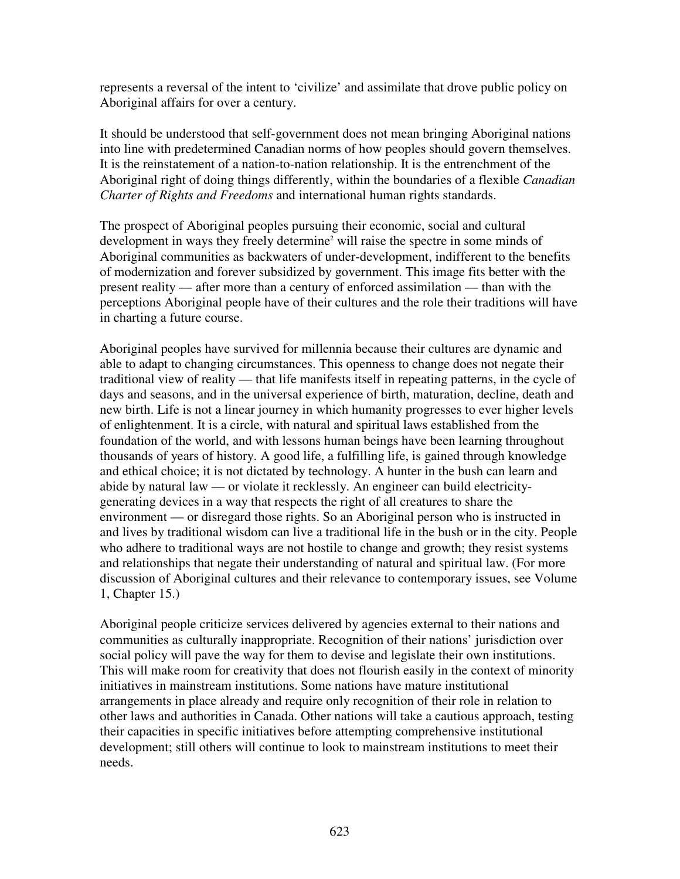represents a reversal of the intent to 'civilize' and assimilate that drove public policy on Aboriginal affairs for over a century.

It should be understood that self-government does not mean bringing Aboriginal nations into line with predetermined Canadian norms of how peoples should govern themselves. It is the reinstatement of a nation-to-nation relationship. It is the entrenchment of the Aboriginal right of doing things differently, within the boundaries of a flexible *Canadian Charter of Rights and Freedoms* and international human rights standards.

The prospect of Aboriginal peoples pursuing their economic, social and cultural development in ways they freely determine <sup>2</sup> will raise the spectre in some minds of Aboriginal communities as backwaters of under-development, indifferent to the benefits of modernization and forever subsidized by government. This image fits better with the present reality — after more than a century of enforced assimilation — than with the perceptions Aboriginal people have of their cultures and the role their traditions will have in charting a future course.

Aboriginal peoples have survived for millennia because their cultures are dynamic and able to adapt to changing circumstances. This openness to change does not negate their traditional view of reality — that life manifests itself in repeating patterns, in the cycle of days and seasons, and in the universal experience of birth, maturation, decline, death and new birth. Life is not a linear journey in which humanity progresses to ever higher levels of enlightenment. It is a circle, with natural and spiritual laws established from the foundation of the world, and with lessons human beings have been learning throughout thousands of years of history. A good life, a fulfilling life, is gained through knowledge and ethical choice; it is not dictated by technology. A hunter in the bush can learn and abide by natural law — or violate it recklessly. An engineer can build electricitygenerating devices in a way that respects the right of all creatures to share the environment — or disregard those rights. So an Aboriginal person who is instructed in and lives by traditional wisdom can live a traditional life in the bush or in the city. People who adhere to traditional ways are not hostile to change and growth; they resist systems and relationships that negate their understanding of natural and spiritual law. (For more discussion of Aboriginal cultures and their relevance to contemporary issues, see Volume 1, Chapter 15.)

Aboriginal people criticize services delivered by agencies external to their nations and communities as culturally inappropriate. Recognition of their nations' jurisdiction over social policy will pave the way for them to devise and legislate their own institutions. This will make room for creativity that does not flourish easily in the context of minority initiatives in mainstream institutions. Some nations have mature institutional arrangements in place already and require only recognition of their role in relation to other laws and authorities in Canada. Other nations will take a cautious approach, testing their capacities in specific initiatives before attempting comprehensive institutional development; still others will continue to look to mainstream institutions to meet their needs.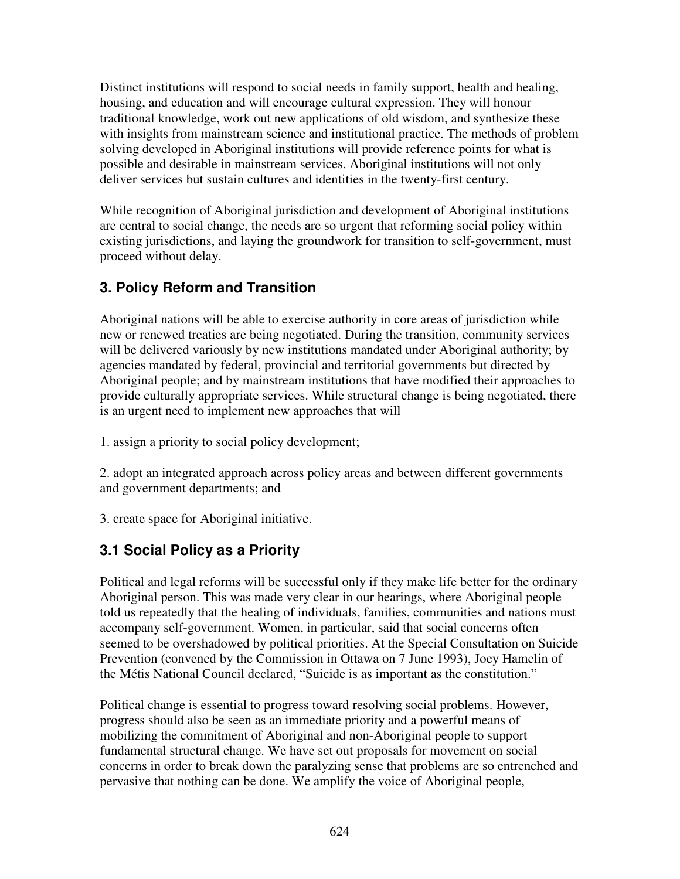Distinct institutions will respond to social needs in family support, health and healing, housing, and education and will encourage cultural expression. They will honour traditional knowledge, work out new applications of old wisdom, and synthesize these with insights from mainstream science and institutional practice. The methods of problem solving developed in Aboriginal institutions will provide reference points for what is possible and desirable in mainstream services. Aboriginal institutions will not only deliver services but sustain cultures and identities in the twenty-first century.

While recognition of Aboriginal jurisdiction and development of Aboriginal institutions are central to social change, the needs are so urgent that reforming social policy within existing jurisdictions, and laying the groundwork for transition to self-government, must proceed without delay.

# **3. Policy Reform and Transition**

Aboriginal nations will be able to exercise authority in core areas of jurisdiction while new or renewed treaties are being negotiated. During the transition, community services will be delivered variously by new institutions mandated under Aboriginal authority; by agencies mandated by federal, provincial and territorial governments but directed by Aboriginal people; and by mainstream institutions that have modified their approaches to provide culturally appropriate services. While structural change is being negotiated, there is an urgent need to implement new approaches that will

1. assign a priority to social policy development;

2. adopt an integrated approach across policy areas and between different governments and government departments; and

3. create space for Aboriginal initiative.

# **3.1 Social Policy as a Priority**

Political and legal reforms will be successful only if they make life better for the ordinary Aboriginal person. This was made very clear in our hearings, where Aboriginal people told us repeatedly that the healing of individuals, families, communities and nations must accompany self-government. Women, in particular, said that social concerns often seemed to be overshadowed by political priorities. At the Special Consultation on Suicide Prevention (convened by the Commission in Ottawa on 7 June 1993), Joey Hamelin of the Métis National Council declared, "Suicide is as important as the constitution."

Political change is essential to progress toward resolving social problems. However, progress should also be seen as an immediate priority and a powerful means of mobilizing the commitment of Aboriginal and non-Aboriginal people to support fundamental structural change. We have set out proposals for movement on social concerns in order to break down the paralyzing sense that problems are so entrenched and pervasive that nothing can be done. We amplify the voice of Aboriginal people,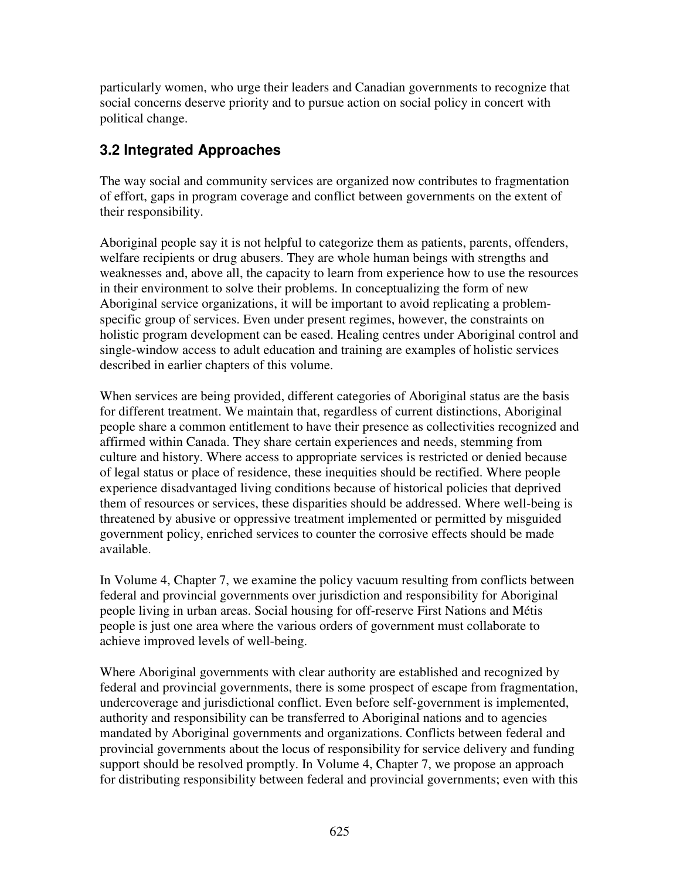particularly women, who urge their leaders and Canadian governments to recognize that social concerns deserve priority and to pursue action on social policy in concert with political change.

## **3.2 Integrated Approaches**

The way social and community services are organized now contributes to fragmentation of effort, gaps in program coverage and conflict between governments on the extent of their responsibility.

Aboriginal people say it is not helpful to categorize them as patients, parents, offenders, welfare recipients or drug abusers. They are whole human beings with strengths and weaknesses and, above all, the capacity to learn from experience how to use the resources in their environment to solve their problems. In conceptualizing the form of new Aboriginal service organizations, it will be important to avoid replicating a problemspecific group of services. Even under present regimes, however, the constraints on holistic program development can be eased. Healing centres under Aboriginal control and single-window access to adult education and training are examples of holistic services described in earlier chapters of this volume.

When services are being provided, different categories of Aboriginal status are the basis for different treatment. We maintain that, regardless of current distinctions, Aboriginal people share a common entitlement to have their presence as collectivities recognized and affirmed within Canada. They share certain experiences and needs, stemming from culture and history. Where access to appropriate services is restricted or denied because of legal status or place of residence, these inequities should be rectified. Where people experience disadvantaged living conditions because of historical policies that deprived them of resources or services, these disparities should be addressed. Where well-being is threatened by abusive or oppressive treatment implemented or permitted by misguided government policy, enriched services to counter the corrosive effects should be made available.

In Volume 4, Chapter 7, we examine the policy vacuum resulting from conflicts between federal and provincial governments over jurisdiction and responsibility for Aboriginal people living in urban areas. Social housing for off-reserve First Nations and Métis people is just one area where the various orders of government must collaborate to achieve improved levels of well-being.

Where Aboriginal governments with clear authority are established and recognized by federal and provincial governments, there is some prospect of escape from fragmentation, undercoverage and jurisdictional conflict. Even before self-government is implemented, authority and responsibility can be transferred to Aboriginal nations and to agencies mandated by Aboriginal governments and organizations. Conflicts between federal and provincial governments about the locus of responsibility for service delivery and funding support should be resolved promptly. In Volume 4, Chapter 7, we propose an approach for distributing responsibility between federal and provincial governments; even with this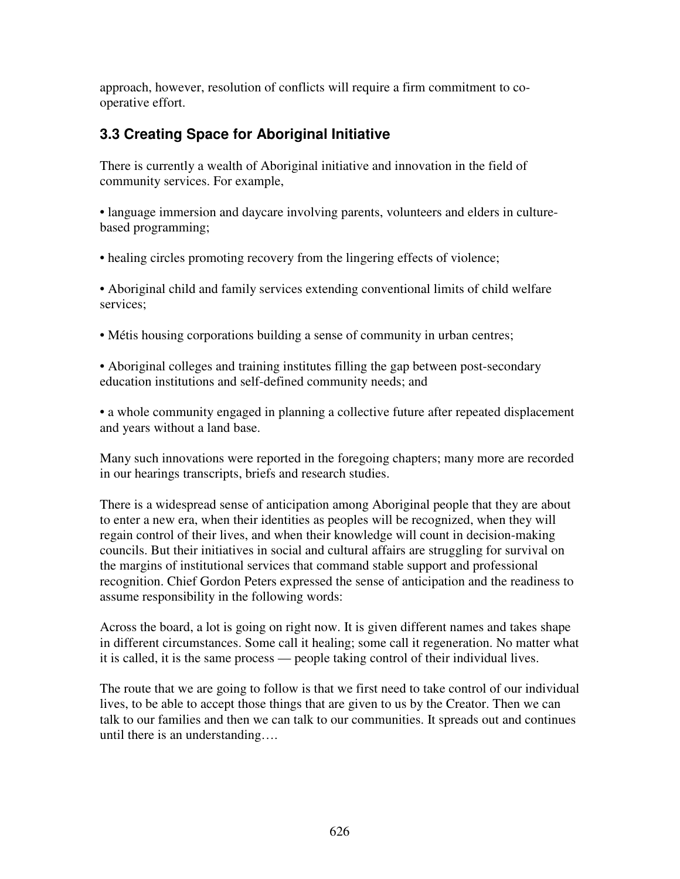approach, however, resolution of conflicts will require a firm commitment to cooperative effort.

# **3.3 Creating Space for Aboriginal Initiative**

There is currently a wealth of Aboriginal initiative and innovation in the field of community services. For example,

• language immersion and daycare involving parents, volunteers and elders in culturebased programming;

• healing circles promoting recovery from the lingering effects of violence;

• Aboriginal child and family services extending conventional limits of child welfare services;

• Métis housing corporations building a sense of community in urban centres;

• Aboriginal colleges and training institutes filling the gap between post-secondary education institutions and self-defined community needs; and

• a whole community engaged in planning a collective future after repeated displacement and years without a land base.

Many such innovations were reported in the foregoing chapters; many more are recorded in our hearings transcripts, briefs and research studies.

There is a widespread sense of anticipation among Aboriginal people that they are about to enter a new era, when their identities as peoples will be recognized, when they will regain control of their lives, and when their knowledge will count in decision-making councils. But their initiatives in social and cultural affairs are struggling for survival on the margins of institutional services that command stable support and professional recognition. Chief Gordon Peters expressed the sense of anticipation and the readiness to assume responsibility in the following words:

Across the board, a lot is going on right now. It is given different names and takes shape in different circumstances. Some call it healing; some call it regeneration. No matter what it is called, it is the same process — people taking control of their individual lives.

The route that we are going to follow is that we first need to take control of our individual lives, to be able to accept those things that are given to us by the Creator. Then we can talk to our families and then we can talk to our communities. It spreads out and continues until there is an understanding….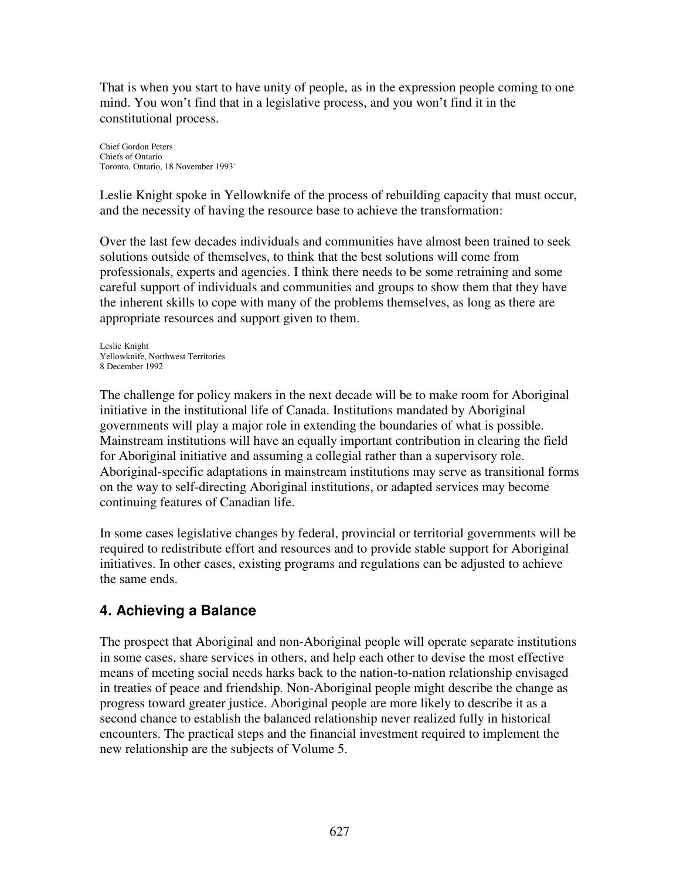That is when you start to have unity of people, as in the expression people coming to one mind. You won't find that in a legislative process, and you won't find it in the constitutional process.

Chief Gordon Peters Chiefs of Ontario Toronto, Ontario, 18 November 1993 \*

Leslie Knight spoke in Yellowknife of the process of rebuilding capacity that must occur, and the necessity of having the resource base to achieve the transformation:

Over the last few decades individuals and communities have almost been trained to seek solutions outside of themselves, to think that the best solutions will come from professionals, experts and agencies. I think there needs to be some retraining and some careful support of individuals and communities and groups to show them that they have the inherent skills to cope with many of the problems themselves, as long as there are appropriate resources and support given to them.

Leslie Knight Yellowknife, Northwest Territories 8 December 1992

The challenge for policy makers in the next decade will be to make room for Aboriginal initiative in the institutional life of Canada. Institutions mandated by Aboriginal governments will play a major role in extending the boundaries of what is possible. Mainstream institutions will have an equally important contribution in clearing the field for Aboriginal initiative and assuming a collegial rather than a supervisory role. Aboriginal-specific adaptations in mainstream institutions may serve as transitional forms on the way to self-directing Aboriginal institutions, or adapted services may become continuing features of Canadian life.

In some cases legislative changes by federal, provincial or territorial governments will be required to redistribute effort and resources and to provide stable support for Aboriginal initiatives. In other cases, existing programs and regulations can be adjusted to achieve the same ends.

## **4. Achieving a Balance**

The prospect that Aboriginal and non-Aboriginal people will operate separate institutions in some cases, share services in others, and help each other to devise the most effective means of meeting social needs harks back to the nation-to-nation relationship envisaged in treaties of peace and friendship. Non-Aboriginal people might describe the change as progress toward greater justice. Aboriginal people are more likely to describe it as a second chance to establish the balanced relationship never realized fully in historical encounters. The practical steps and the financial investment required to implement the new relationship are the subjects of Volume 5.